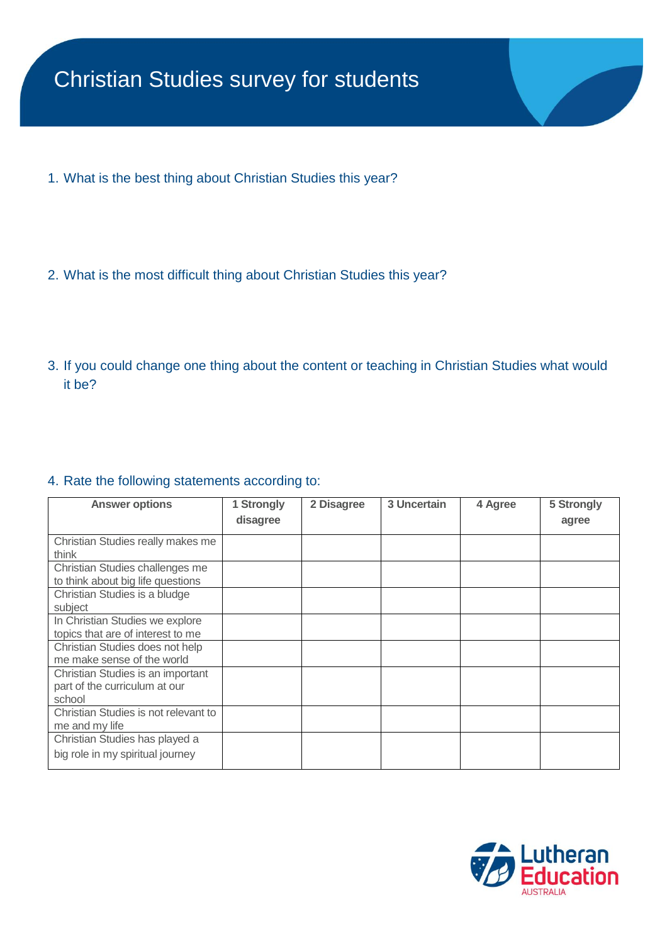- 1. What is the best thing about Christian Studies this year?
- 2. What is the most difficult thing about Christian Studies this year?
- 3. If you could change one thing about the content or teaching in Christian Studies what would it be?

## 4. Rate the following statements according to:

| <b>Answer options</b>                | 1 Strongly | 2 Disagree | 3 Uncertain | 4 Agree | 5 Strongly |
|--------------------------------------|------------|------------|-------------|---------|------------|
|                                      | disagree   |            |             |         | agree      |
| Christian Studies really makes me    |            |            |             |         |            |
| think                                |            |            |             |         |            |
| Christian Studies challenges me      |            |            |             |         |            |
| to think about big life questions    |            |            |             |         |            |
| Christian Studies is a bludge        |            |            |             |         |            |
| subject                              |            |            |             |         |            |
| In Christian Studies we explore      |            |            |             |         |            |
| topics that are of interest to me    |            |            |             |         |            |
| Christian Studies does not help      |            |            |             |         |            |
| me make sense of the world           |            |            |             |         |            |
| Christian Studies is an important    |            |            |             |         |            |
| part of the curriculum at our        |            |            |             |         |            |
| school                               |            |            |             |         |            |
| Christian Studies is not relevant to |            |            |             |         |            |
| me and my life                       |            |            |             |         |            |
| Christian Studies has played a       |            |            |             |         |            |
| big role in my spiritual journey     |            |            |             |         |            |